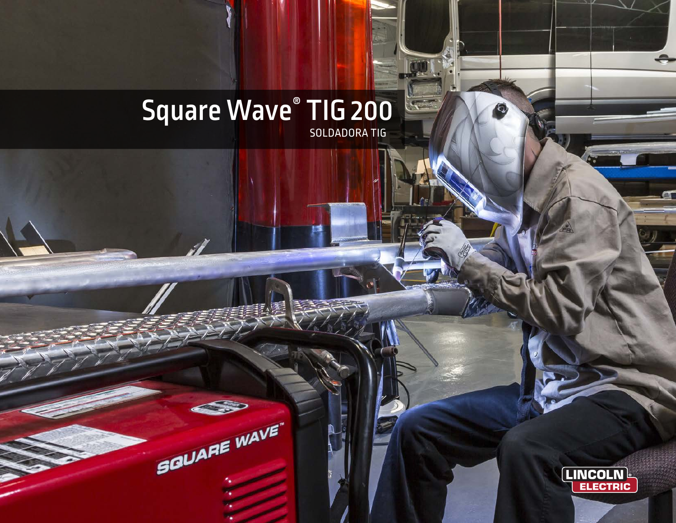# Square Wave® TIG 200 SOLDADORA TIG

SQUARE WAVE



 $\leftarrow$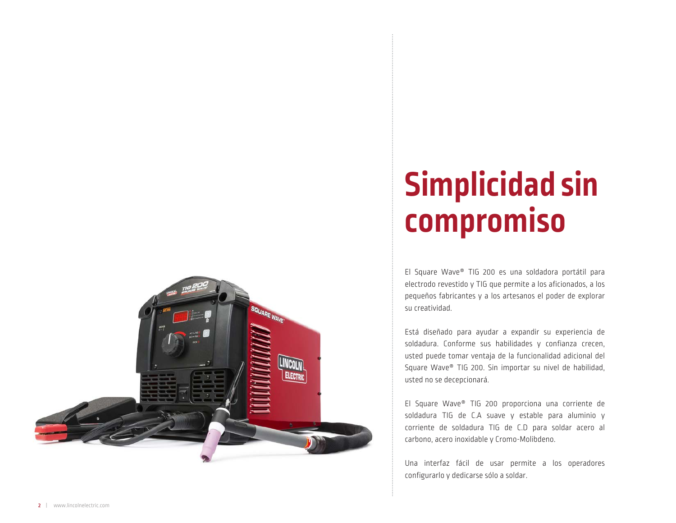

# **Simplicidad sin compromiso**

El Square Wave® TIG 200 es una soldadora portátil para electrodo revestido y TIG que permite a los aficionados, a los pequeños fabricantes y a los artesanos el poder de explorar su creatividad.

Está diseñado para ayudar a expandir su experiencia de soldadura. Conforme sus habilidades y confianza crecen, usted puede tomar ventaja de la funcionalidad adicional del Square Wave® TIG 200. Sin importar su nivel de habilidad, usted no se decepcionará.

El Square Wave® TIG 200 proporciona una corriente de soldadura TIG de C.A suave y estable para aluminio y corriente de soldadura TIG de C.D para soldar acero al carbono, acero inoxidable y Cromo-Molibdeno.

Una interfaz fácil de usar permite a los operadores configurarlo y dedicarse sólo a soldar.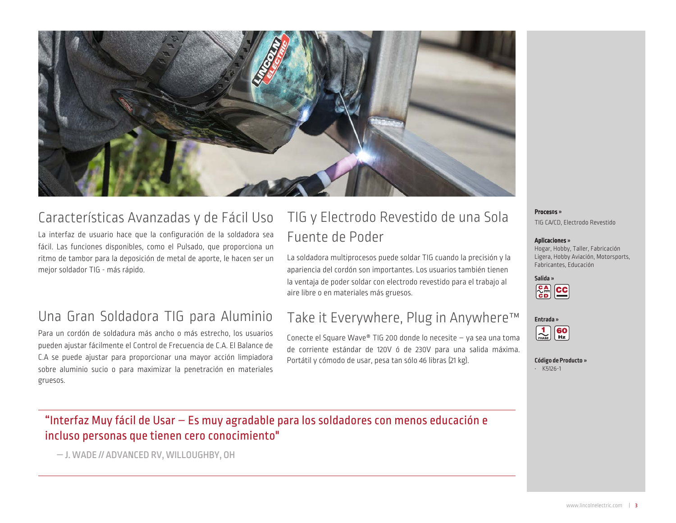

### Características Avanzadas y de Fácil Uso

La interfaz de usuario hace que la configuración de la soldadora sea fácil. Las funciones disponibles, como el Pulsado, que proporciona un ritmo de tambor para la deposición de metal de aporte, le hacen ser un mejor soldador TIG - más rápido.

### Una Gran Soldadora TIG para Aluminio

Para un cordón de soldadura más ancho o más estrecho, los usuarios pueden ajustar fácilmente el Control de Frecuencia de C.A. El Balance de C.A se puede ajustar para proporcionar una mayor acción limpiadora sobre aluminio sucio o para maximizar la penetración en materiales gruesos.

### TIG y Electrodo Revestido de una Sola Fuente de Poder

La soldadora multiprocesos puede soldar TIG cuando la precisión y la apariencia del cordón son importantes. Los usuarios también tienen la ventaja de poder soldar con electrodo revestido para el trabajo al aire libre o en materiales más gruesos.

### Take it Everywhere, Plug in Anywhere™

Conecte el Square Wave® TIG 200 donde lo necesite – ya sea una toma de corriente estándar de 120V ó de 230V para una salida máxima. Portátil y cómodo de usar, pesa tan sólo 46 libras (21 kg).

#### Proces**o**s »

TIG CA/CD, Electrodo Revestido

#### Aplica**c**ion**e**s »

Hogar, Hobby, Taller, Fabricación Ligera, Hobby Aviación, Motorsports, Fabricantes, Educación





**Código de Producto** » • K5126-1

### "Interfaz Muy fácil de Usar – Es muy agradable para los soldadores con menos educación e incluso personas que tienen cero conocimiento"

— J. WADE // ADVANCED RV, WILLOUGHBY, OH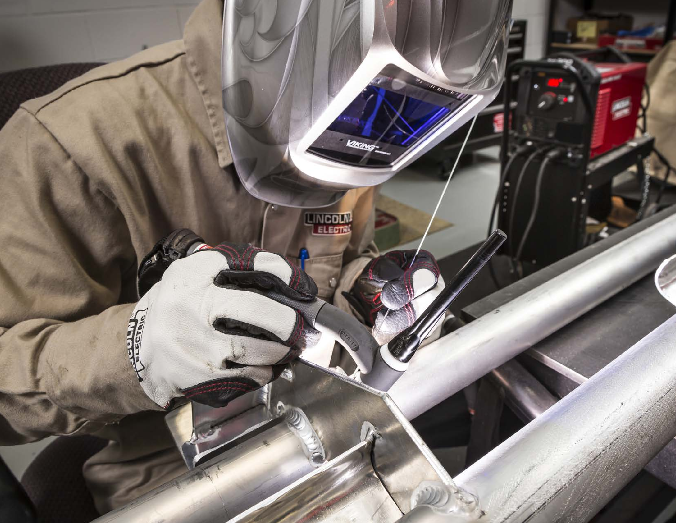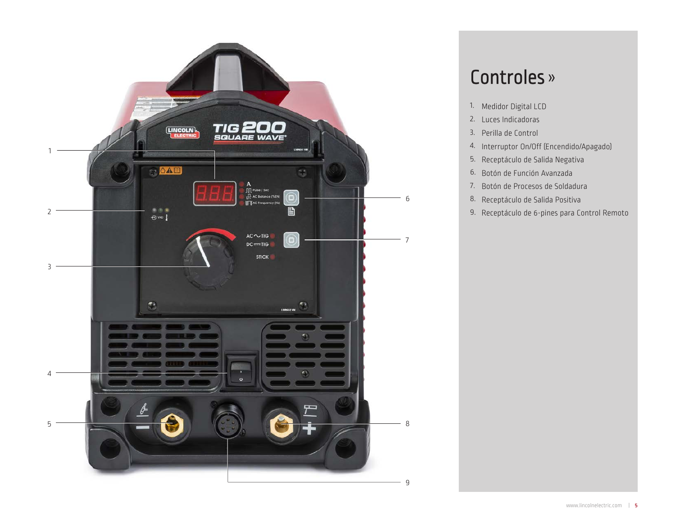

## Controles »

- 1. Medidor Digital LCD
- 2. Luces Indicadoras
- 3. Perilla de Control
- 4. Interruptor On/Off (Encendido/Apagado)
- 5. Receptáculo de Salida Negativa
- 6. Botón de Función Avanzada
- 7. Botón de Procesos de Soldadura
- 8. Receptáculo de Salida Positiva
- 9. Receptáculo de 6-pines para Control Remoto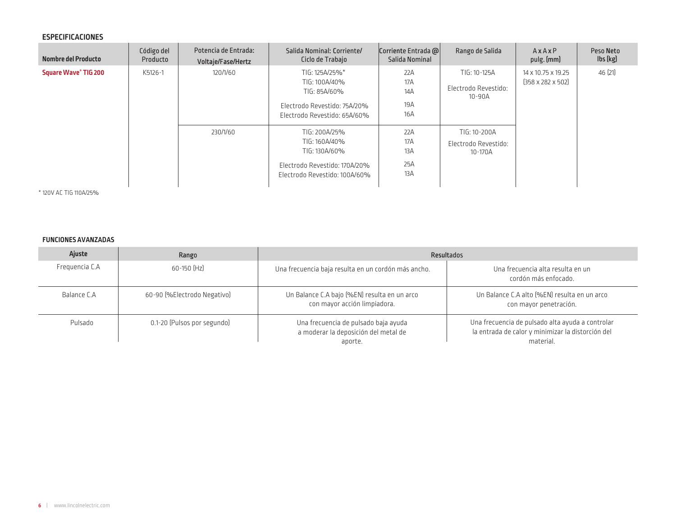#### **ESPECIFICACIONES**

| Nombre del Producto         | Código del<br>Producto | Potencia de Entrada:<br>Voltaje/Fase/Hertz | Salida Nominal: Corriente/<br>Ciclo de Trabajo                                                                    | Corriente Entrada $\omega$<br>Salida Nominal | Rango de Salida                                 | AxAxP<br>pulg. [mm]                                 | Peso Neto<br>Ibs (kg) |
|-----------------------------|------------------------|--------------------------------------------|-------------------------------------------------------------------------------------------------------------------|----------------------------------------------|-------------------------------------------------|-----------------------------------------------------|-----------------------|
| <b>Square Wave® TIG 200</b> | K5126-1                | 120/1/60                                   | TIG: 125A/25%*<br>TIG: 100A/40%<br>TIG: 85A/60%<br>Electrodo Revestido: 75A/20%<br>Electrodo Revestido: 65A/60%   | 22A<br>17A<br>14A<br>19A<br>16A              | TIG: 10-125A<br>Electrodo Revestido:<br>10-90A  | 14 x 10.75 x 19.25<br>$[358 \times 282 \times 502]$ | 46 [21]               |
|                             |                        | 230/1/60                                   | TIG: 200A/25%<br>TIG: 160A/40%<br>TIG: 130A/60%<br>Electrodo Revestido: 170A/20%<br>Electrodo Revestido: 100A/60% | 22A<br>17A<br>13A<br>25A<br>13A              | TIG: 10-200A<br>Electrodo Revestido:<br>10-170A |                                                     |                       |

\* 120V AC TIG 110A/25%

#### **FUNCIONES AVANZADAS**

| Ajuste         | Rango                       | <b>Resultados</b>                                                                       |                                                                                                                    |  |  |
|----------------|-----------------------------|-----------------------------------------------------------------------------------------|--------------------------------------------------------------------------------------------------------------------|--|--|
| Frequencia C.A | 60-150 [Hz]                 | Una frecuencia baja resulta en un cordón más ancho.                                     | Una frecuencia alta resulta en un<br>cordón más enfocado.                                                          |  |  |
| Balance C.A    | 60-90 [%Electrodo Negativo] | Un Balance C.A bajo (%EN) resulta en un arco<br>con mayor acción limpiadora.            | Un Balance C.A alto (%EN) resulta en un arco<br>con mayor penetración.                                             |  |  |
| Pulsado        | 0.1-20 (Pulsos por segundo) | Una frecuencia de pulsado baja ayuda<br>a moderar la deposición del metal de<br>aporte. | Una frecuencia de pulsado alta ayuda a controlar<br>la entrada de calor y minimizar la distorción del<br>material. |  |  |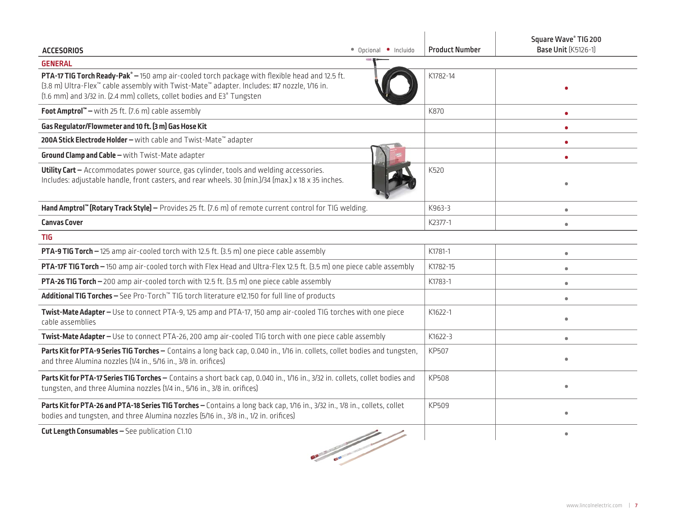| <b>ACCESORIOS</b>                                                                                                                                                                                                                                                                                          | • Opcional • Incluido | <b>Product Number</b> | Square Wave® TIG 200<br><b>Base Unit [K5126-1]</b> |
|------------------------------------------------------------------------------------------------------------------------------------------------------------------------------------------------------------------------------------------------------------------------------------------------------------|-----------------------|-----------------------|----------------------------------------------------|
| <b>GENERAL</b>                                                                                                                                                                                                                                                                                             |                       |                       |                                                    |
| PTA-17 TIG Torch Ready-Pak <sup>®</sup> - 150 amp air-cooled torch package with flexible head and 12.5 ft.<br>[3.8 m] Ultra-Flex <sup>™</sup> cable assembly with Twist-Mate <sup>™</sup> adapter. Includes: #7 nozzle, 1/16 in.<br>[1.6 mm] and 3/32 in. [2.4 mm] collets, collet bodies and E3° Tungsten | K1782-14              |                       |                                                    |
| Foot Amptrol <sup>"</sup> - with 25 ft. $(7.6 \text{ m})$ cable assembly                                                                                                                                                                                                                                   | K870                  | $\bullet$             |                                                    |
| Gas Regulator/Flowmeter and 10 ft. [3 m] Gas Hose Kit                                                                                                                                                                                                                                                      |                       |                       |                                                    |
| 200A Stick Electrode Holder - with cable and Twist-Mate <sup>™</sup> adapter                                                                                                                                                                                                                               |                       |                       |                                                    |
| Ground Clamp and Cable - with Twist-Mate adapter                                                                                                                                                                                                                                                           |                       |                       |                                                    |
| Utility Cart - Accommodates power source, gas cylinder, tools and welding accessories.<br>Includes: adjustable handle, front casters, and rear wheels. 30 (min.)/34 (max.) x 18 x 35 inches.                                                                                                               | K520                  |                       |                                                    |
| Hand Amptrol" (Rotary Track Style) - Provides 25 ft. (7.6 m) of remote current control for TIG welding.                                                                                                                                                                                                    |                       | K963-3                | $\bullet$                                          |
| <b>Canvas Cover</b>                                                                                                                                                                                                                                                                                        |                       | K2377-1               | $\bullet$                                          |
| <b>TIG</b>                                                                                                                                                                                                                                                                                                 |                       |                       |                                                    |
| PTA-9 TIG Torch - 125 amp air-cooled torch with 12.5 ft. [3.5 m] one piece cable assembly                                                                                                                                                                                                                  |                       | K1781-1               | ۰                                                  |
| PTA-17F TIG Torch - 150 amp air-cooled torch with Flex Head and Ultra-Flex 12.5 ft. [3.5 m] one piece cable assembly                                                                                                                                                                                       | K1782-15              | $\blacksquare$        |                                                    |
| PTA-26 TIG Torch - 200 amp air-cooled torch with 12.5 ft. (3.5 m) one piece cable assembly                                                                                                                                                                                                                 |                       | K1783-1               | $\bullet$                                          |
| Additional TIG Torches - See Pro-Torch™ TIG torch literature e12.150 for full line of products                                                                                                                                                                                                             |                       |                       | ۰                                                  |
| Twist-Mate Adapter - Use to connect PTA-9, 125 amp and PTA-17, 150 amp air-cooled TIG torches with one piece<br>cable assemblies                                                                                                                                                                           | K1622-1               | $\bullet$             |                                                    |
| Twist-Mate Adapter - Use to connect PTA-26, 200 amp air-cooled TIG torch with one piece cable assembly                                                                                                                                                                                                     |                       | K1622-3               | $\blacksquare$                                     |
| Parts Kit for PTA-9 Series TIG Torches - Contains a long back cap, 0.040 in., 1/16 in. collets, collet bodies and tungsten,<br>and three Alumina nozzles (1/4 in., 5/16 in., 3/8 in. orifices)                                                                                                             | KP507                 |                       |                                                    |
| Parts Kit for PTA-17 Series TIG Torches - Contains a short back cap, 0.040 in., 1/16 in., 3/32 in. collets, collet bodies and<br>tungsten, and three Alumina nozzles (1/4 in., 5/16 in., 3/8 in. orifices)                                                                                                 | <b>KP508</b>          |                       |                                                    |
| Parts Kit for PTA-26 and PTA-18 Series TIG Torches - Contains a long back cap, 1/16 in., 3/32 in., 1/8 in., collets, collet<br>bodies and tungsten, and three Alumina nozzles (5/16 in., 3/8 in., 1/2 in. orifices)                                                                                        | KP509                 |                       |                                                    |
| Cut Length Consumables - See publication C1.10                                                                                                                                                                                                                                                             | <u>f</u> 17           |                       |                                                    |